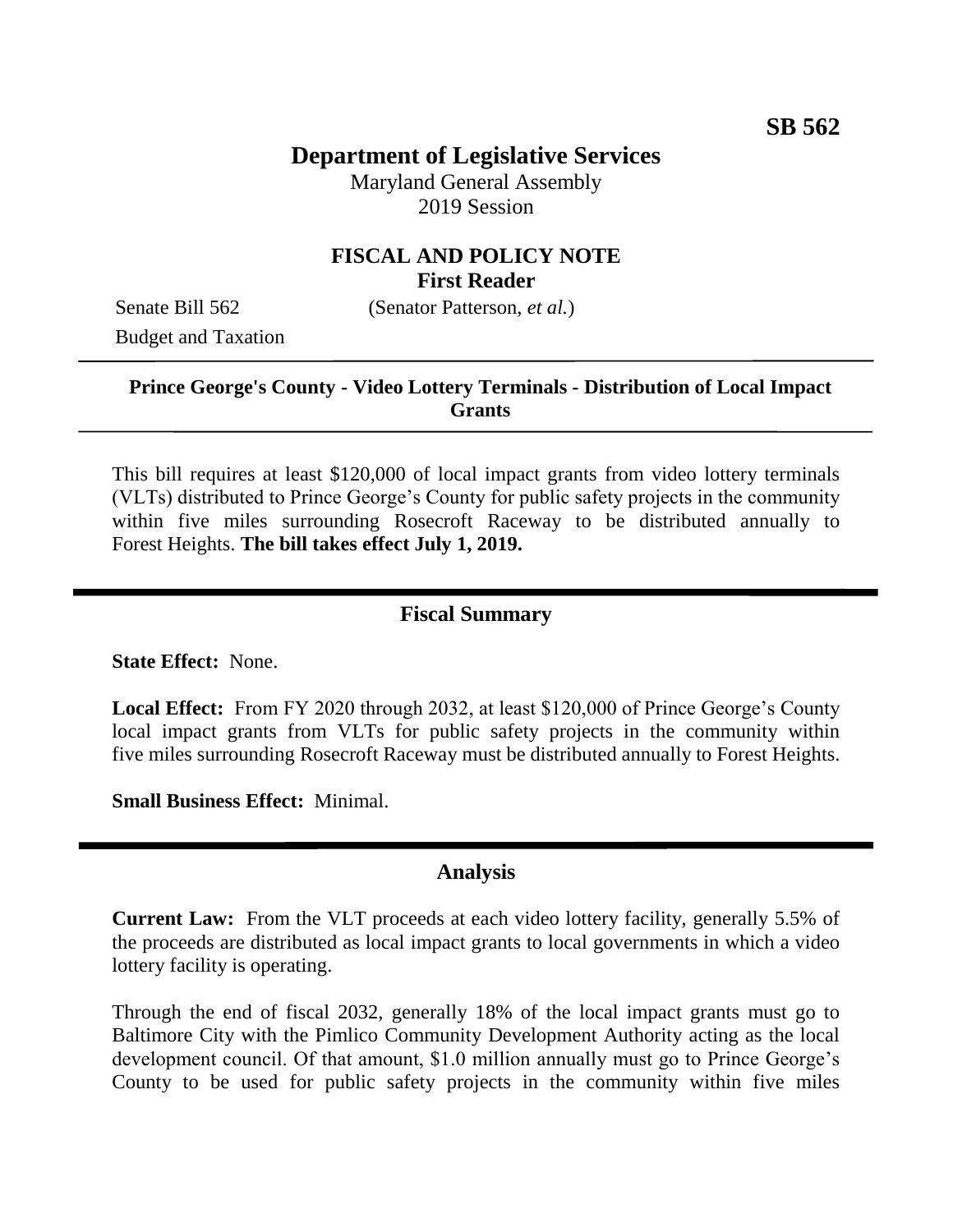# **Department of Legislative Services**

Maryland General Assembly 2019 Session

## **FISCAL AND POLICY NOTE First Reader**

Budget and Taxation

Senate Bill 562 (Senator Patterson, *et al.*)

## **Prince George's County - Video Lottery Terminals - Distribution of Local Impact Grants**

This bill requires at least \$120,000 of local impact grants from video lottery terminals (VLTs) distributed to Prince George's County for public safety projects in the community within five miles surrounding Rosecroft Raceway to be distributed annually to Forest Heights. **The bill takes effect July 1, 2019.**

## **Fiscal Summary**

**State Effect:** None.

**Local Effect:** From FY 2020 through 2032, at least \$120,000 of Prince George's County local impact grants from VLTs for public safety projects in the community within five miles surrounding Rosecroft Raceway must be distributed annually to Forest Heights.

**Small Business Effect:** Minimal.

#### **Analysis**

**Current Law:** From the VLT proceeds at each video lottery facility, generally 5.5% of the proceeds are distributed as local impact grants to local governments in which a video lottery facility is operating.

Through the end of fiscal 2032, generally 18% of the local impact grants must go to Baltimore City with the Pimlico Community Development Authority acting as the local development council. Of that amount, \$1.0 million annually must go to Prince George's County to be used for public safety projects in the community within five miles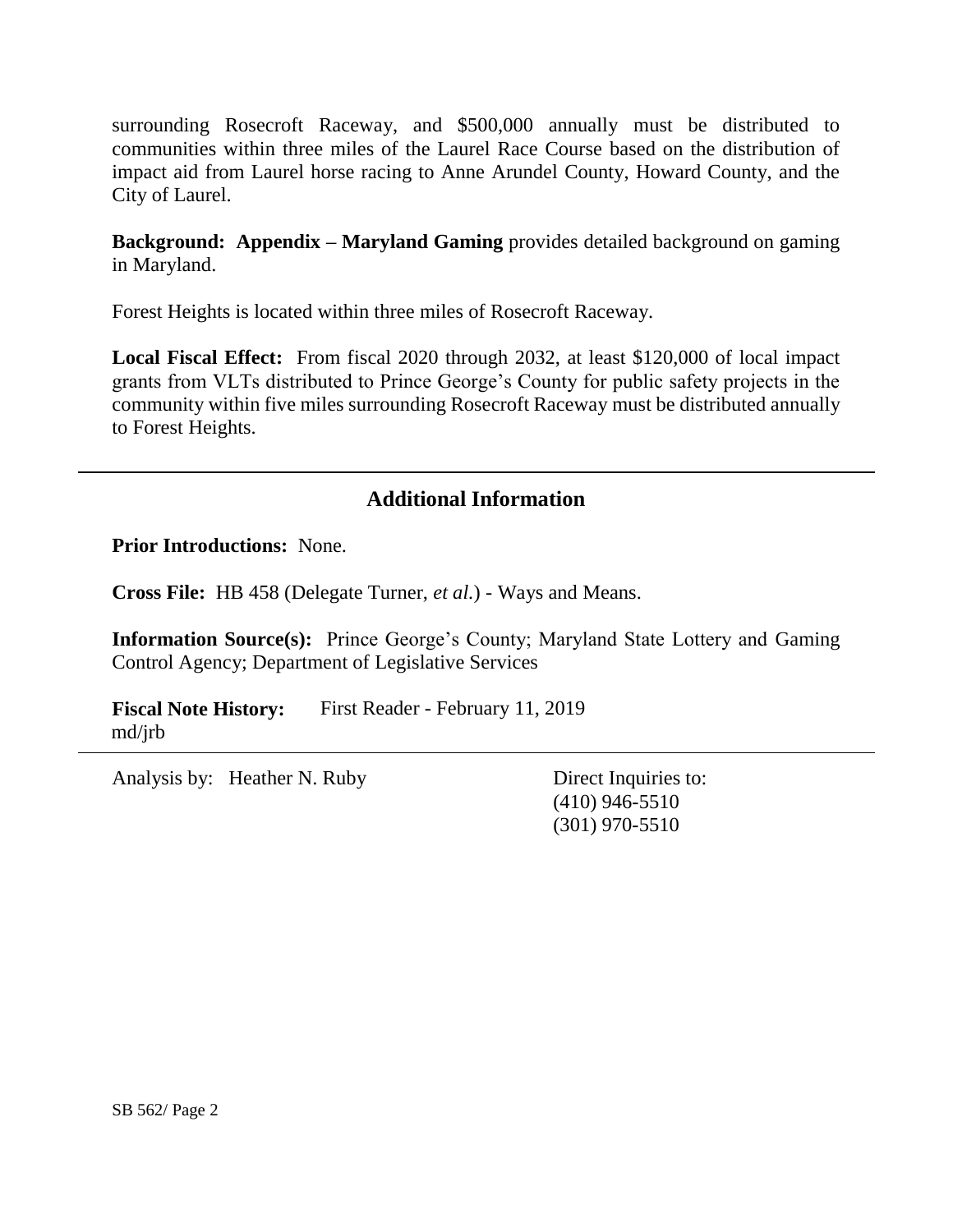surrounding Rosecroft Raceway, and \$500,000 annually must be distributed to communities within three miles of the Laurel Race Course based on the distribution of impact aid from Laurel horse racing to Anne Arundel County, Howard County, and the City of Laurel.

**Background: Appendix – Maryland Gaming** provides detailed background on gaming in Maryland.

Forest Heights is located within three miles of Rosecroft Raceway.

**Local Fiscal Effect:** From fiscal 2020 through 2032, at least \$120,000 of local impact grants from VLTs distributed to Prince George's County for public safety projects in the community within five miles surrounding Rosecroft Raceway must be distributed annually to Forest Heights.

# **Additional Information**

**Prior Introductions:** None.

**Cross File:** HB 458 (Delegate Turner, *et al.*) - Ways and Means.

**Information Source(s):** Prince George's County; Maryland State Lottery and Gaming Control Agency; Department of Legislative Services

**Fiscal Note History:** First Reader - February 11, 2019 md/jrb

Analysis by: Heather N. Ruby Direct Inquiries to:

(410) 946-5510 (301) 970-5510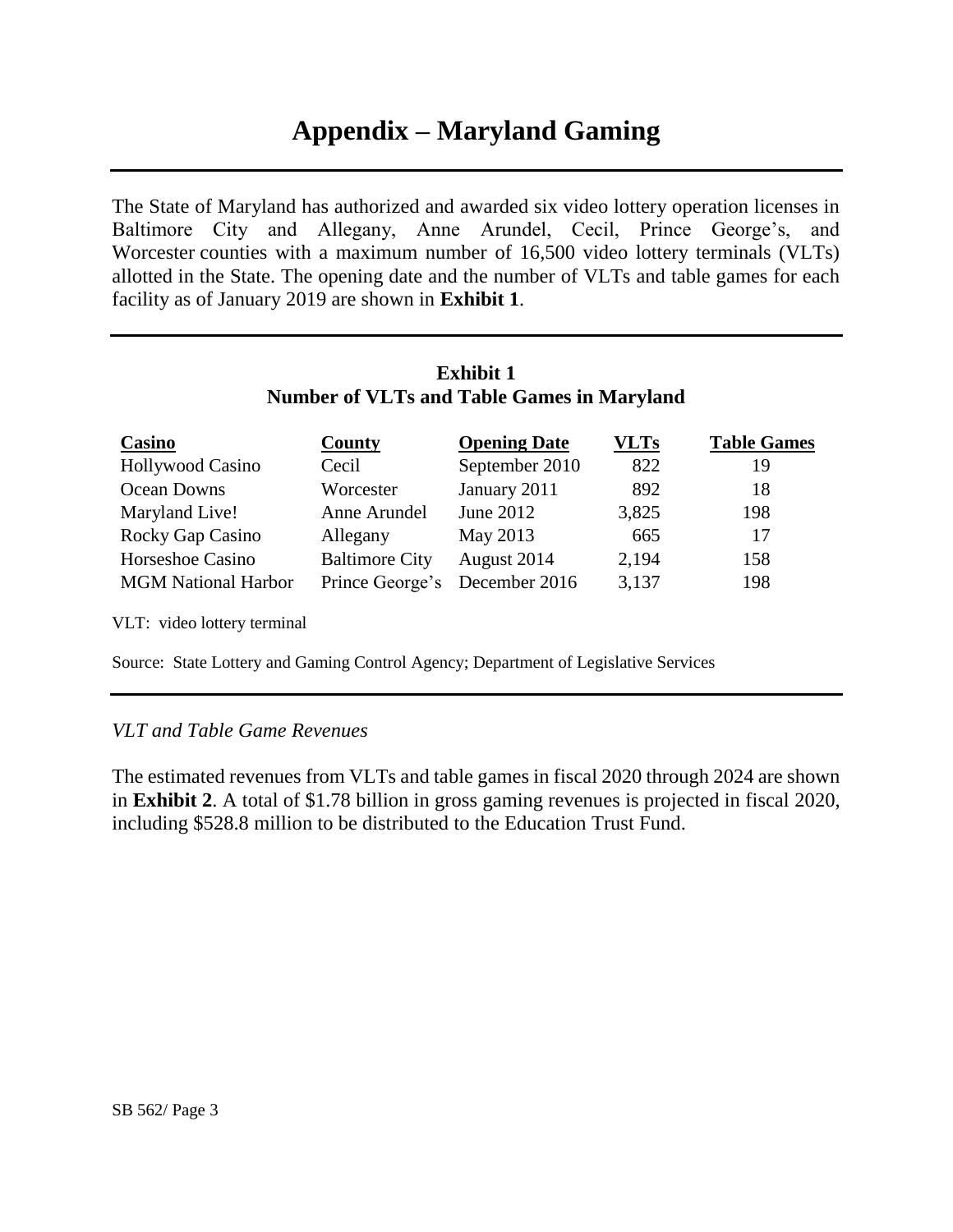# **Appendix – Maryland Gaming**

The State of Maryland has authorized and awarded six video lottery operation licenses in Baltimore City and Allegany, Anne Arundel, Cecil, Prince George's, and Worcester counties with a maximum number of 16,500 video lottery terminals (VLTs) allotted in the State. The opening date and the number of VLTs and table games for each facility as of January 2019 are shown in **Exhibit 1**.

### **Exhibit 1 Number of VLTs and Table Games in Maryland**

| Casino                     | <b>County</b>                 | <b>Opening Date</b> | <b>VLTs</b> | <b>Table Games</b> |
|----------------------------|-------------------------------|---------------------|-------------|--------------------|
| <b>Hollywood Casino</b>    | Cecil                         | September 2010      | 822         | 19                 |
| Ocean Downs                | Worcester                     | January 2011        | 892         | 18                 |
| Maryland Live!             | Anne Arundel                  | June 2012           | 3,825       | 198                |
| Rocky Gap Casino           | Allegany                      | May 2013            | 665         | 17                 |
| Horseshoe Casino           | <b>Baltimore City</b>         | August 2014         | 2,194       | 158                |
| <b>MGM National Harbor</b> | Prince George's December 2016 |                     | 3,137       | 198                |

VLT: video lottery terminal

Source: State Lottery and Gaming Control Agency; Department of Legislative Services

#### *VLT and Table Game Revenues*

The estimated revenues from VLTs and table games in fiscal 2020 through 2024 are shown in **Exhibit 2**. A total of \$1.78 billion in gross gaming revenues is projected in fiscal 2020, including \$528.8 million to be distributed to the Education Trust Fund.